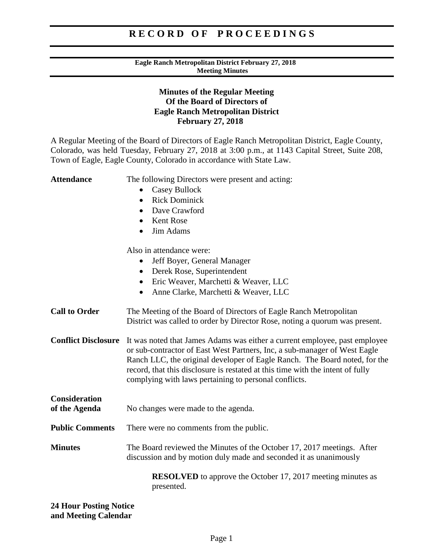#### **Eagle Ranch Metropolitan District February 27, 2018 Meeting Minutes**

## **Minutes of the Regular Meeting Of the Board of Directors of Eagle Ranch Metropolitan District February 27, 2018**

A Regular Meeting of the Board of Directors of Eagle Ranch Metropolitan District, Eagle County, Colorado, was held Tuesday, February 27, 2018 at 3:00 p.m., at 1143 Capital Street, Suite 208, Town of Eagle, Eagle County, Colorado in accordance with State Law.

| <b>Attendance</b>                                     | The following Directors were present and acting:                                                                                                                                                                                                                                                                                                                                 |
|-------------------------------------------------------|----------------------------------------------------------------------------------------------------------------------------------------------------------------------------------------------------------------------------------------------------------------------------------------------------------------------------------------------------------------------------------|
|                                                       | <b>Casey Bullock</b>                                                                                                                                                                                                                                                                                                                                                             |
|                                                       | <b>Rick Dominick</b><br>$\bullet$                                                                                                                                                                                                                                                                                                                                                |
|                                                       | Dave Crawford<br>$\bullet$                                                                                                                                                                                                                                                                                                                                                       |
|                                                       | <b>Kent Rose</b><br>$\bullet$                                                                                                                                                                                                                                                                                                                                                    |
|                                                       | Jim Adams                                                                                                                                                                                                                                                                                                                                                                        |
|                                                       | Also in attendance were:                                                                                                                                                                                                                                                                                                                                                         |
|                                                       | Jeff Boyer, General Manager                                                                                                                                                                                                                                                                                                                                                      |
|                                                       | Derek Rose, Superintendent<br>$\bullet$                                                                                                                                                                                                                                                                                                                                          |
|                                                       | Eric Weaver, Marchetti & Weaver, LLC                                                                                                                                                                                                                                                                                                                                             |
|                                                       | Anne Clarke, Marchetti & Weaver, LLC<br>$\bullet$                                                                                                                                                                                                                                                                                                                                |
| <b>Call to Order</b>                                  | The Meeting of the Board of Directors of Eagle Ranch Metropolitan<br>District was called to order by Director Rose, noting a quorum was present.                                                                                                                                                                                                                                 |
| <b>Conflict Disclosure</b>                            | It was noted that James Adams was either a current employee, past employee<br>or sub-contractor of East West Partners, Inc, a sub-manager of West Eagle<br>Ranch LLC, the original developer of Eagle Ranch. The Board noted, for the<br>record, that this disclosure is restated at this time with the intent of fully<br>complying with laws pertaining to personal conflicts. |
| <b>Consideration</b>                                  |                                                                                                                                                                                                                                                                                                                                                                                  |
| of the Agenda                                         | No changes were made to the agenda.                                                                                                                                                                                                                                                                                                                                              |
| <b>Public Comments</b>                                | There were no comments from the public.                                                                                                                                                                                                                                                                                                                                          |
| <b>Minutes</b>                                        | The Board reviewed the Minutes of the October 17, 2017 meetings. After<br>discussion and by motion duly made and seconded it as unanimously                                                                                                                                                                                                                                      |
|                                                       | <b>RESOLVED</b> to approve the October 17, 2017 meeting minutes as<br>presented.                                                                                                                                                                                                                                                                                                 |
| <b>24 Hour Posting Notice</b><br>and Meeting Calendar |                                                                                                                                                                                                                                                                                                                                                                                  |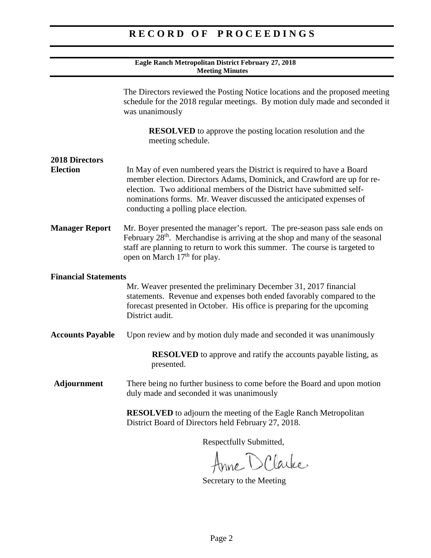#### **Eagle Ranch Metropolitan District February 27, 2018 Meeting Minutes**

|                                          | The Directors reviewed the Posting Notice locations and the proposed meeting<br>schedule for the 2018 regular meetings. By motion duly made and seconded it<br>was unanimously                                                                                                                                                            |
|------------------------------------------|-------------------------------------------------------------------------------------------------------------------------------------------------------------------------------------------------------------------------------------------------------------------------------------------------------------------------------------------|
|                                          | <b>RESOLVED</b> to approve the posting location resolution and the<br>meeting schedule.                                                                                                                                                                                                                                                   |
| <b>2018 Directors</b><br><b>Election</b> | In May of even numbered years the District is required to have a Board<br>member election. Directors Adams, Dominick, and Crawford are up for re-<br>election. Two additional members of the District have submitted self-<br>nominations forms. Mr. Weaver discussed the anticipated expenses of<br>conducting a polling place election. |
| <b>Manager Report</b>                    | Mr. Boyer presented the manager's report. The pre-season pass sale ends on<br>February 28 <sup>th</sup> . Merchandise is arriving at the shop and many of the seasonal<br>staff are planning to return to work this summer. The course is targeted to<br>open on March 17 <sup>th</sup> for play.                                         |
| <b>Financial Statements</b>              |                                                                                                                                                                                                                                                                                                                                           |
|                                          | Mr. Weaver presented the preliminary December 31, 2017 financial<br>statements. Revenue and expenses both ended favorably compared to the<br>forecast presented in October. His office is preparing for the upcoming<br>District audit.                                                                                                   |
| <b>Accounts Payable</b>                  | Upon review and by motion duly made and seconded it was unanimously                                                                                                                                                                                                                                                                       |
|                                          | <b>RESOLVED</b> to approve and ratify the accounts payable listing, as<br>presented.                                                                                                                                                                                                                                                      |
| Adjournment                              | There being no further business to come before the Board and upon motion<br>duly made and seconded it was unanimously                                                                                                                                                                                                                     |
|                                          | <b>RESOLVED</b> to adjourn the meeting of the Eagle Ranch Metropolitan<br>District Board of Directors held February 27, 2018.                                                                                                                                                                                                             |
|                                          | Respectfully Submitted,                                                                                                                                                                                                                                                                                                                   |
|                                          | Anne D Clarke                                                                                                                                                                                                                                                                                                                             |

Secretary to the Meeting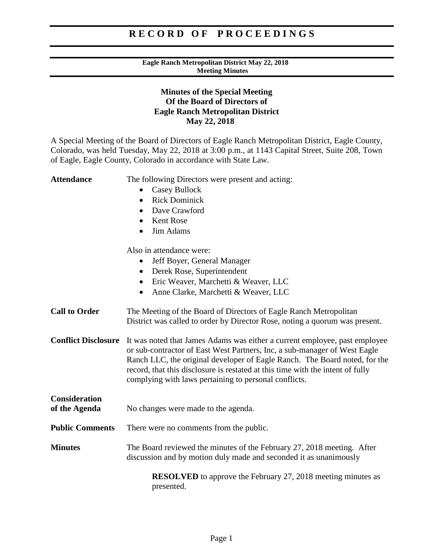#### **Eagle Ranch Metropolitan District May 22, 2018 Meeting Minutes**

## **Minutes of the Special Meeting Of the Board of Directors of Eagle Ranch Metropolitan District May 22, 2018**

A Special Meeting of the Board of Directors of Eagle Ranch Metropolitan District, Eagle County, Colorado, was held Tuesday, May 22, 2018 at 3:00 p.m., at 1143 Capital Street, Suite 208, Town of Eagle, Eagle County, Colorado in accordance with State Law.

| <b>Attendance</b>          | The following Directors were present and acting:                                                                                                                                                                                                                                                                                                                                 |
|----------------------------|----------------------------------------------------------------------------------------------------------------------------------------------------------------------------------------------------------------------------------------------------------------------------------------------------------------------------------------------------------------------------------|
|                            | <b>Casey Bullock</b>                                                                                                                                                                                                                                                                                                                                                             |
|                            | <b>Rick Dominick</b><br>$\bullet$                                                                                                                                                                                                                                                                                                                                                |
|                            | Dave Crawford<br>$\bullet$                                                                                                                                                                                                                                                                                                                                                       |
|                            | <b>Kent Rose</b><br>$\bullet$                                                                                                                                                                                                                                                                                                                                                    |
|                            | Jim Adams                                                                                                                                                                                                                                                                                                                                                                        |
|                            | Also in attendance were:                                                                                                                                                                                                                                                                                                                                                         |
|                            | Jeff Boyer, General Manager                                                                                                                                                                                                                                                                                                                                                      |
|                            | Derek Rose, Superintendent<br>$\bullet$                                                                                                                                                                                                                                                                                                                                          |
|                            | Eric Weaver, Marchetti & Weaver, LLC<br>$\bullet$                                                                                                                                                                                                                                                                                                                                |
|                            | Anne Clarke, Marchetti & Weaver, LLC<br>$\bullet$                                                                                                                                                                                                                                                                                                                                |
| <b>Call to Order</b>       | The Meeting of the Board of Directors of Eagle Ranch Metropolitan<br>District was called to order by Director Rose, noting a quorum was present.                                                                                                                                                                                                                                 |
| <b>Conflict Disclosure</b> | It was noted that James Adams was either a current employee, past employee<br>or sub-contractor of East West Partners, Inc, a sub-manager of West Eagle<br>Ranch LLC, the original developer of Eagle Ranch. The Board noted, for the<br>record, that this disclosure is restated at this time with the intent of fully<br>complying with laws pertaining to personal conflicts. |
| <b>Consideration</b>       |                                                                                                                                                                                                                                                                                                                                                                                  |
| of the Agenda              | No changes were made to the agenda.                                                                                                                                                                                                                                                                                                                                              |
| <b>Public Comments</b>     | There were no comments from the public.                                                                                                                                                                                                                                                                                                                                          |
| <b>Minutes</b>             | The Board reviewed the minutes of the February 27, 2018 meeting. After<br>discussion and by motion duly made and seconded it as unanimously                                                                                                                                                                                                                                      |
|                            | <b>RESOLVED</b> to approve the February 27, 2018 meeting minutes as<br>presented.                                                                                                                                                                                                                                                                                                |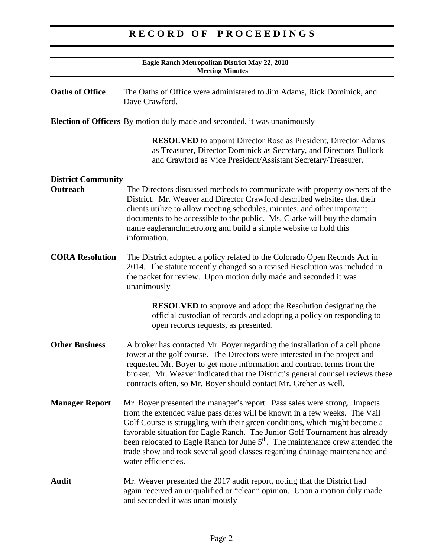| Eagle Ranch Metropolitan District May 22, 2018<br><b>Meeting Minutes</b> |                                                                                                                                                                                                                                                                                                                                                                                                                                                                                                                          |  |
|--------------------------------------------------------------------------|--------------------------------------------------------------------------------------------------------------------------------------------------------------------------------------------------------------------------------------------------------------------------------------------------------------------------------------------------------------------------------------------------------------------------------------------------------------------------------------------------------------------------|--|
| <b>Oaths of Office</b>                                                   | The Oaths of Office were administered to Jim Adams, Rick Dominick, and<br>Dave Crawford.                                                                                                                                                                                                                                                                                                                                                                                                                                 |  |
|                                                                          | <b>Election of Officers</b> By motion duly made and seconded, it was unanimously                                                                                                                                                                                                                                                                                                                                                                                                                                         |  |
|                                                                          | <b>RESOLVED</b> to appoint Director Rose as President, Director Adams<br>as Treasurer, Director Dominick as Secretary, and Directors Bullock<br>and Crawford as Vice President/Assistant Secretary/Treasurer.                                                                                                                                                                                                                                                                                                            |  |
| <b>District Community</b><br>Outreach                                    | The Directors discussed methods to communicate with property owners of the<br>District. Mr. Weaver and Director Crawford described websites that their<br>clients utilize to allow meeting schedules, minutes, and other important<br>documents to be accessible to the public. Ms. Clarke will buy the domain<br>name eagleranchmetro.org and build a simple website to hold this<br>information.                                                                                                                       |  |
| <b>CORA Resolution</b>                                                   | The District adopted a policy related to the Colorado Open Records Act in<br>2014. The statute recently changed so a revised Resolution was included in<br>the packet for review. Upon motion duly made and seconded it was<br>unanimously                                                                                                                                                                                                                                                                               |  |
|                                                                          | <b>RESOLVED</b> to approve and adopt the Resolution designating the<br>official custodian of records and adopting a policy on responding to<br>open records requests, as presented.                                                                                                                                                                                                                                                                                                                                      |  |
| <b>Other Business</b>                                                    | A broker has contacted Mr. Boyer regarding the installation of a cell phone<br>tower at the golf course. The Directors were interested in the project and<br>requested Mr. Boyer to get more information and contract terms from the<br>broker. Mr. Weaver indicated that the District's general counsel reviews these<br>contracts often, so Mr. Boyer should contact Mr. Greher as well.                                                                                                                               |  |
| <b>Manager Report</b>                                                    | Mr. Boyer presented the manager's report. Pass sales were strong. Impacts<br>from the extended value pass dates will be known in a few weeks. The Vail<br>Golf Course is struggling with their green conditions, which might become a<br>favorable situation for Eagle Ranch. The Junior Golf Tournament has already<br>been relocated to Eagle Ranch for June 5 <sup>th</sup> . The maintenance crew attended the<br>trade show and took several good classes regarding drainage maintenance and<br>water efficiencies. |  |
| Audit                                                                    | Mr. Weaver presented the 2017 audit report, noting that the District had<br>again received an unqualified or "clean" opinion. Upon a motion duly made<br>and seconded it was unanimously                                                                                                                                                                                                                                                                                                                                 |  |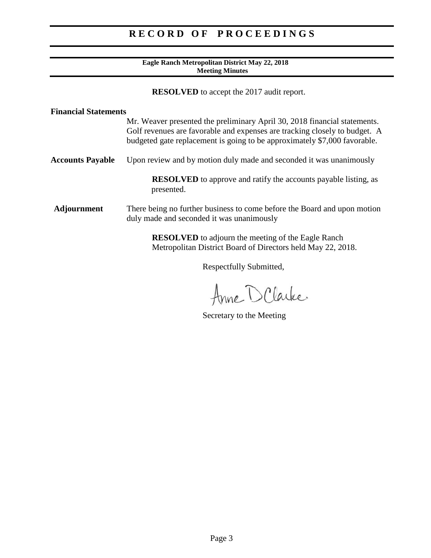### **Eagle Ranch Metropolitan District May 22, 2018 Meeting Minutes**

**RESOLVED** to accept the 2017 audit report.

| <b>Financial Statements</b> |                                                                                                                                                                                                                                      |
|-----------------------------|--------------------------------------------------------------------------------------------------------------------------------------------------------------------------------------------------------------------------------------|
|                             | Mr. Weaver presented the preliminary April 30, 2018 financial statements.<br>Golf revenues are favorable and expenses are tracking closely to budget. A<br>budgeted gate replacement is going to be approximately \$7,000 favorable. |
| <b>Accounts Payable</b>     | Upon review and by motion duly made and seconded it was unanimously                                                                                                                                                                  |
|                             | <b>RESOLVED</b> to approve and ratify the accounts payable listing, as<br>presented.                                                                                                                                                 |
| <b>Adjournment</b>          | There being no further business to come before the Board and upon motion<br>duly made and seconded it was unanimously                                                                                                                |
|                             | <b>RESOLVED</b> to adjourn the meeting of the Eagle Ranch<br>Metropolitan District Board of Directors held May 22, 2018.                                                                                                             |
|                             | Respectfully Submitted,                                                                                                                                                                                                              |

Anne D Clarke

Secretary to the Meeting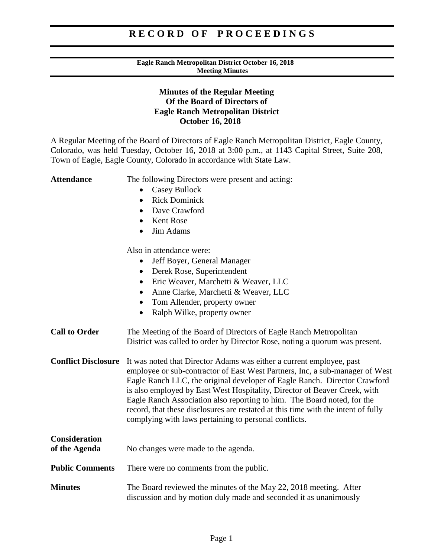#### **Eagle Ranch Metropolitan District October 16, 2018 Meeting Minutes**

## **Minutes of the Regular Meeting Of the Board of Directors of Eagle Ranch Metropolitan District October 16, 2018**

A Regular Meeting of the Board of Directors of Eagle Ranch Metropolitan District, Eagle County, Colorado, was held Tuesday, October 16, 2018 at 3:00 p.m., at 1143 Capital Street, Suite 208, Town of Eagle, Eagle County, Colorado in accordance with State Law.

Attendance The following Directors were present and acting: • Casey Bullock • Rick Dominick • Dave Crawford • Kent Rose • Jim Adams Also in attendance were: • Jeff Boyer, General Manager • Derek Rose, Superintendent • Eric Weaver, Marchetti & Weaver, LLC • Anne Clarke, Marchetti & Weaver, LLC • Tom Allender, property owner • Ralph Wilke, property owner **Call to Order** The Meeting of the Board of Directors of Eagle Ranch Metropolitan District was called to order by Director Rose, noting a quorum was present. **Conflict Disclosure** It was noted that Director Adams was either a current employee, past employee or sub-contractor of East West Partners, Inc, a sub-manager of West Eagle Ranch LLC, the original developer of Eagle Ranch. Director Crawford is also employed by East West Hospitality, Director of Beaver Creek, with Eagle Ranch Association also reporting to him. The Board noted, for the record, that these disclosures are restated at this time with the intent of fully complying with laws pertaining to personal conflicts. **Consideration of the Agenda** No changes were made to the agenda. **Public Comments** There were no comments from the public. **Minutes** The Board reviewed the minutes of the May 22, 2018 meeting. After discussion and by motion duly made and seconded it as unanimously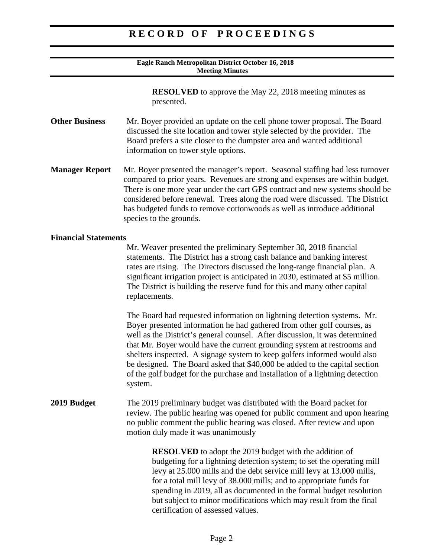#### **Eagle Ranch Metropolitan District October 16, 2018 Meeting Minutes**

**RESOLVED** to approve the May 22, 2018 meeting minutes as presented.

- **Other Business** Mr. Boyer provided an update on the cell phone tower proposal. The Board discussed the site location and tower style selected by the provider. The Board prefers a site closer to the dumpster area and wanted additional information on tower style options.
- **Manager Report** Mr. Boyer presented the manager's report. Seasonal staffing had less turnover compared to prior years. Revenues are strong and expenses are within budget. There is one more year under the cart GPS contract and new systems should be considered before renewal. Trees along the road were discussed. The District has budgeted funds to remove cottonwoods as well as introduce additional species to the grounds.

#### **Financial Statements**

Mr. Weaver presented the preliminary September 30, 2018 financial statements. The District has a strong cash balance and banking interest rates are rising. The Directors discussed the long-range financial plan. A significant irrigation project is anticipated in 2030, estimated at \$5 million. The District is building the reserve fund for this and many other capital replacements.

The Board had requested information on lightning detection systems. Mr. Boyer presented information he had gathered from other golf courses, as well as the District's general counsel. After discussion, it was determined that Mr. Boyer would have the current grounding system at restrooms and shelters inspected. A signage system to keep golfers informed would also be designed. The Board asked that \$40,000 be added to the capital section of the golf budget for the purchase and installation of a lightning detection system.

### **2019 Budget** The 2019 preliminary budget was distributed with the Board packet for review. The public hearing was opened for public comment and upon hearing no public comment the public hearing was closed. After review and upon motion duly made it was unanimously

**RESOLVED** to adopt the 2019 budget with the addition of budgeting for a lightning detection system; to set the operating mill levy at 25.000 mills and the debt service mill levy at 13.000 mills, for a total mill levy of 38.000 mills; and to appropriate funds for spending in 2019, all as documented in the formal budget resolution but subject to minor modifications which may result from the final certification of assessed values.